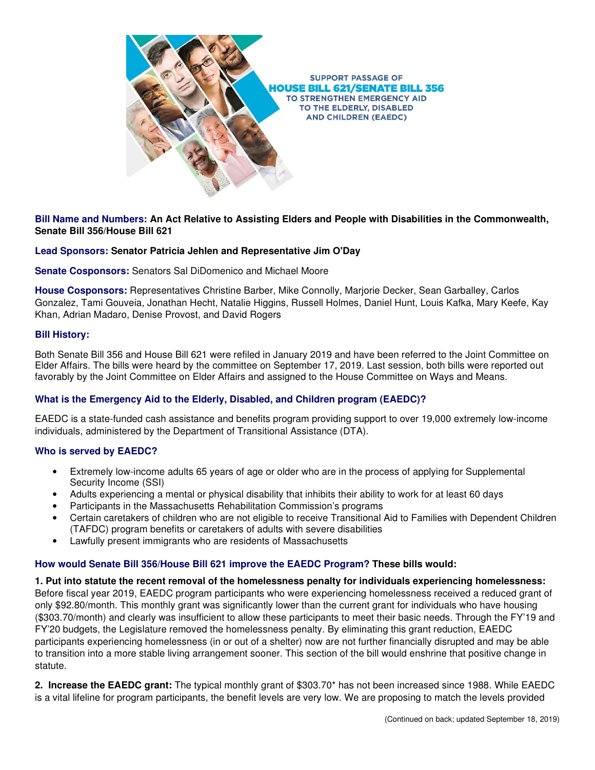

# **Bill Name and Numbers: An Act Relative to Assisting Elders and People with Disabilities in the Commonwealth, Senate Bill 356/House Bill 621**

### **Lead Sponsors: Senator Patricia Jehlen and Representative Jim O'Day**

**Senate Cosponsors:** Senators Sal DiDomenico and Michael Moore

**House Cosponsors:** Representatives Christine Barber, Mike Connolly, Marjorie Decker, Sean Garballey, Carlos Gonzalez, Tami Gouveia, Jonathan Hecht, Natalie Higgins, Russell Holmes, Daniel Hunt, Louis Kafka, Mary Keefe, Kay Khan, Adrian Madaro, Denise Provost, and David Rogers

#### **Bill History:**

Both Senate Bill 356 and House Bill 621 were refiled in January 2019 and have been referred to the Joint Committee on Elder Affairs. The bills were heard by the committee on September 17, 2019. Last session, both bills were reported out favorably by the Joint Committee on Elder Affairs and assigned to the House Committee on Ways and Means.

#### **What is the Emergency Aid to the Elderly, Disabled, and Children program (EAEDC)?**

EAEDC is a state-funded cash assistance and benefits program providing support to over 19,000 extremely low-income individuals, administered by the Department of Transitional Assistance (DTA).

#### **Who is served by EAEDC?**

- Extremely low-income adults 65 years of age or older who are in the process of applying for Supplemental Security Income (SSI)
- Adults experiencing a mental or physical disability that inhibits their ability to work for at least 60 days
- Participants in the Massachusetts Rehabilitation Commission's programs
- Certain caretakers of children who are not eligible to receive Transitional Aid to Families with Dependent Children (TAFDC) program benefits or caretakers of adults with severe disabilities
- Lawfully present immigrants who are residents of Massachusetts

#### **How would Senate Bill 356/House Bill 621 improve the EAEDC Program? These bills would:**

**1. Put into statute the recent removal of the homelessness penalty for individuals experiencing homelessness:**  Before fiscal year 2019, EAEDC program participants who were experiencing homelessness received a reduced grant of only \$92.80/month. This monthly grant was significantly lower than the current grant for individuals who have housing (\$303.70/month) and clearly was insufficient to allow these participants to meet their basic needs. Through the FY'19 and FY'20 budgets, the Legislature removed the homelessness penalty. By eliminating this grant reduction, EAEDC participants experiencing homelessness (in or out of a shelter) now are not further financially disrupted and may be able to transition into a more stable living arrangement sooner. This section of the bill would enshrine that positive change in statute.

**2. Increase the EAEDC grant:** The typical monthly grant of \$303.70\* has not been increased since 1988. While EAEDC is a vital lifeline for program participants, the benefit levels are very low. We are proposing to match the levels provided